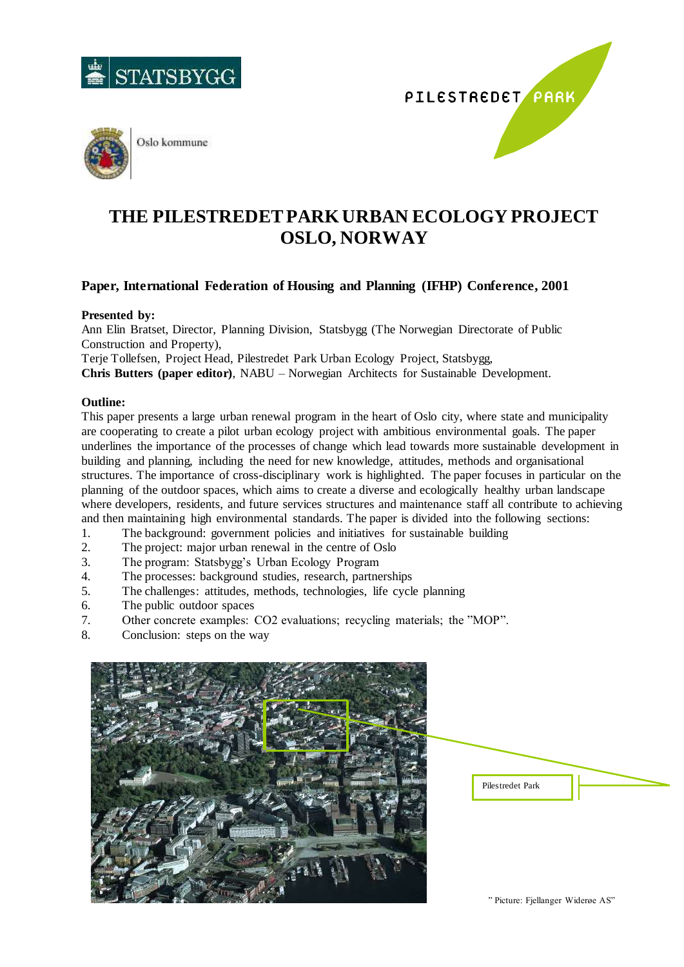

PILESTREDET PARK





#### **Paper, International Federation of Housing and Planning (IFHP) Conference, 2001**

#### **Presented by:**

Ann Elin Bratset, Director, Planning Division, Statsbygg (The Norwegian Directorate of Public Construction and Property),

Terje Tollefsen, Project Head, Pilestredet Park Urban Ecology Project, Statsbygg,

**Chris Butters (paper editor)**, NABU – Norwegian Architects for Sustainable Development.

#### **Outline:**

This paper presents a large urban renewal program in the heart of Oslo city, where state and municipality are cooperating to create a pilot urban ecology project with ambitious environmental goals. The paper underlines the importance of the processes of change which lead towards more sustainable development in building and planning, including the need for new knowledge, attitudes, methods and organisational structures. The importance of cross-disciplinary work is highlighted. The paper focuses in particular on the planning of the outdoor spaces, which aims to create a diverse and ecologically healthy urban landscape where developers, residents, and future services structures and maintenance staff all contribute to achieving and then maintaining high environmental standards. The paper is divided into the following sections:

- 1. The background: government policies and initiatives for sustainable building
- 2. The project: major urban renewal in the centre of Oslo
- 3. The program: Statsbygg's Urban Ecology Program
- 4. The processes: background studies, research, partnerships
- 5. The challenges: attitudes, methods, technologies, life cycle planning
- 6. The public outdoor spaces
- 7. Other concrete examples: CO2 evaluations; recycling materials; the "MOP".
- 8. Conclusion: steps on the way



| Pilestredet Park |  |
|------------------|--|
|                  |  |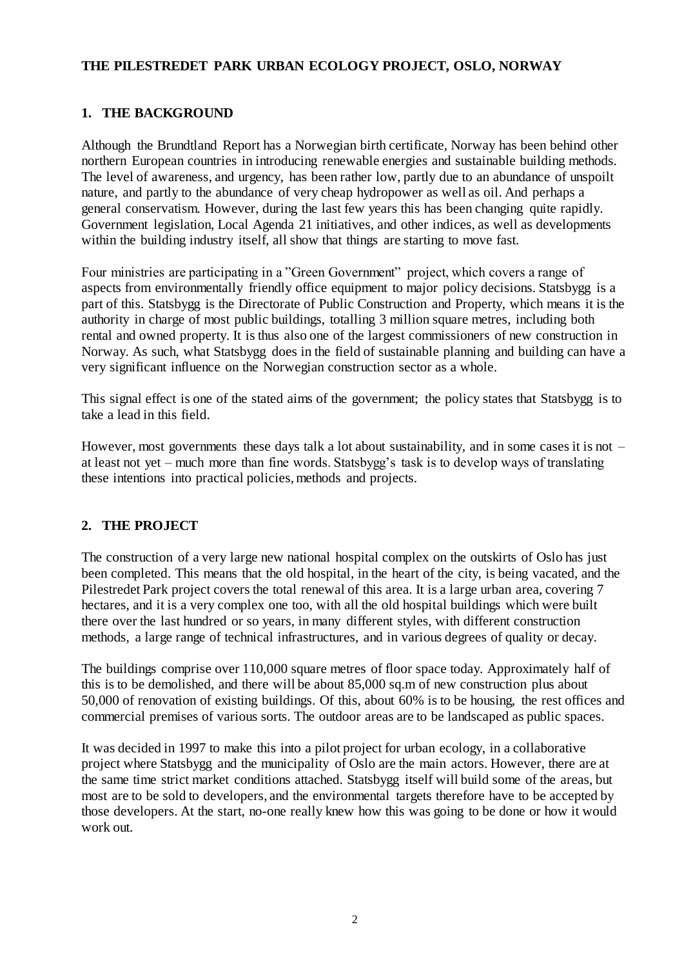# **THE PILESTREDET PARK URBAN ECOLOGY PROJECT, OSLO, NORWAY**

# **1. THE BACKGROUND**

Although the Brundtland Report has a Norwegian birth certificate, Norway has been behind other northern European countries in introducing renewable energies and sustainable building methods. The level of awareness, and urgency, has been rather low, partly due to an abundance of unspoilt nature, and partly to the abundance of very cheap hydropower as well as oil. And perhaps a general conservatism. However, during the last few years this has been changing quite rapidly. Government legislation, Local Agenda 21 initiatives, and other indices, as well as developments within the building industry itself, all show that things are starting to move fast.

Four ministries are participating in a "Green Government" project, which covers a range of aspects from environmentally friendly office equipment to major policy decisions. Statsbygg is a part of this. Statsbygg is the Directorate of Public Construction and Property, which means it is the authority in charge of most public buildings, totalling 3 million square metres, including both rental and owned property. It is thus also one of the largest commissioners of new construction in Norway. As such, what Statsbygg does in the field of sustainable planning and building can have a very significant influence on the Norwegian construction sector as a whole.

This signal effect is one of the stated aims of the government; the policy states that Statsbygg is to take a lead in this field.

However, most governments these days talk a lot about sustainability, and in some cases it is not – at least not yet – much more than fine words. Statsbygg's task is to develop ways of translating these intentions into practical policies, methods and projects.

## **2. THE PROJECT**

The construction of a very large new national hospital complex on the outskirts of Oslo has just been completed. This means that the old hospital, in the heart of the city, is being vacated, and the Pilestredet Park project covers the total renewal of this area. It is a large urban area, covering 7 hectares, and it is a very complex one too, with all the old hospital buildings which were built there over the last hundred or so years, in many different styles, with different construction methods, a large range of technical infrastructures, and in various degrees of quality or decay.

The buildings comprise over 110,000 square metres of floor space today. Approximately half of this is to be demolished, and there will be about 85,000 sq.m of new construction plus about 50,000 of renovation of existing buildings. Of this, about 60% is to be housing, the rest offices and commercial premises of various sorts. The outdoor areas are to be landscaped as public spaces.

It was decided in 1997 to make this into a pilot project for urban ecology, in a collaborative project where Statsbygg and the municipality of Oslo are the main actors. However, there are at the same time strict market conditions attached. Statsbygg itself will build some of the areas, but most are to be sold to developers, and the environmental targets therefore have to be accepted by those developers. At the start, no-one really knew how this was going to be done or how it would work out.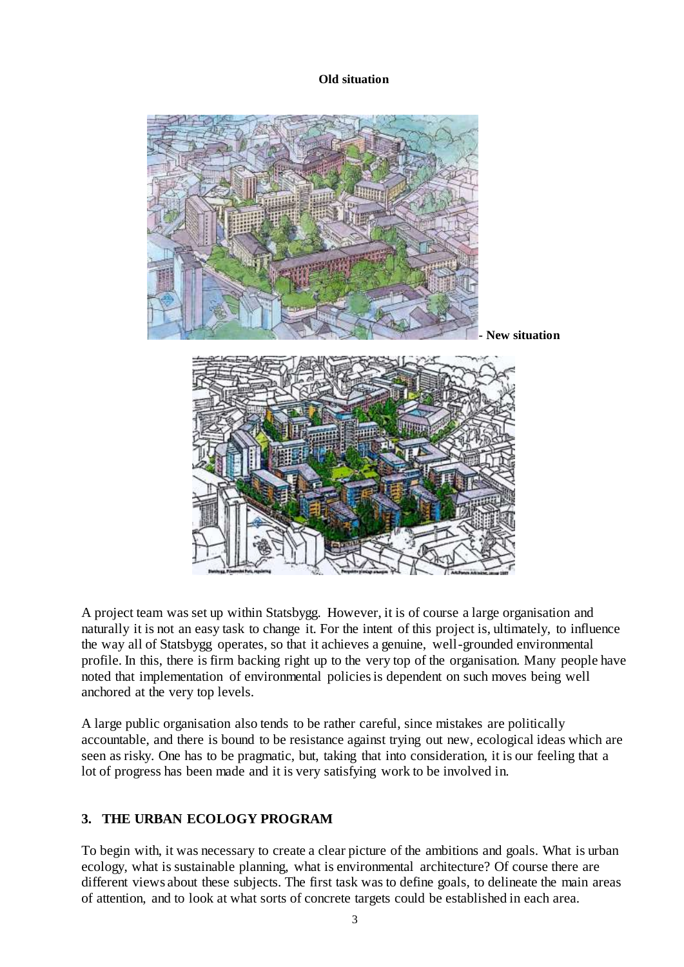#### **Old situation**



A project team was set up within Statsbygg. However, it is of course a large organisation and naturally it is not an easy task to change it. For the intent of this project is, ultimately, to influence the way all of Statsbygg operates, so that it achieves a genuine, well-grounded environmental profile. In this, there is firm backing right up to the very top of the organisation. Many people have noted that implementation of environmental policies is dependent on such moves being well anchored at the very top levels.

A large public organisation also tends to be rather careful, since mistakes are politically accountable, and there is bound to be resistance against trying out new, ecological ideas which are seen as risky. One has to be pragmatic, but, taking that into consideration, it is our feeling that a lot of progress has been made and it is very satisfying work to be involved in.

# **3. THE URBAN ECOLOGY PROGRAM**

To begin with, it was necessary to create a clear picture of the ambitions and goals. What is urban ecology, what is sustainable planning, what is environmental architecture? Of course there are different views about these subjects. The first task was to define goals, to delineate the main areas of attention, and to look at what sorts of concrete targets could be established in each area.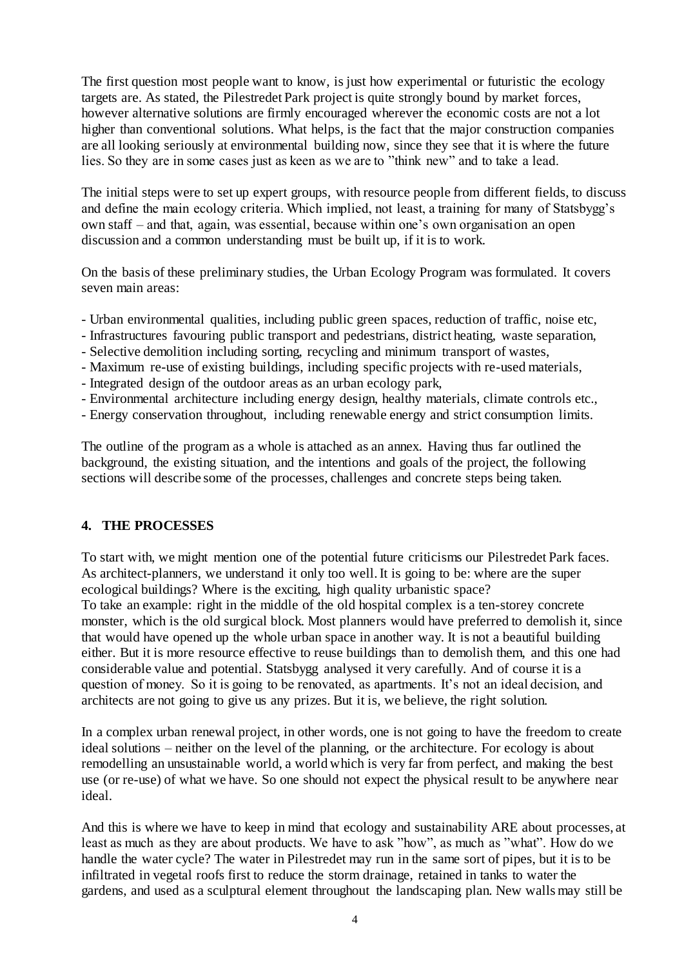The first question most people want to know, is just how experimental or futuristic the ecology targets are. As stated, the Pilestredet Park project is quite strongly bound by market forces, however alternative solutions are firmly encouraged wherever the economic costs are not a lot higher than conventional solutions. What helps, is the fact that the major construction companies are all looking seriously at environmental building now, since they see that it is where the future lies. So they are in some cases just as keen as we are to "think new" and to take a lead.

The initial steps were to set up expert groups, with resource people from different fields, to discuss and define the main ecology criteria. Which implied, not least, a training for many of Statsbygg's own staff – and that, again, was essential, because within one's own organisation an open discussion and a common understanding must be built up, if it is to work.

On the basis of these preliminary studies, the Urban Ecology Program was formulated. It covers seven main areas:

- Urban environmental qualities, including public green spaces, reduction of traffic, noise etc,
- Infrastructures favouring public transport and pedestrians, district heating, waste separation,
- Selective demolition including sorting, recycling and minimum transport of wastes,
- Maximum re-use of existing buildings, including specific projects with re-used materials,
- Integrated design of the outdoor areas as an urban ecology park,
- Environmental architecture including energy design, healthy materials, climate controls etc.,
- Energy conservation throughout, including renewable energy and strict consumption limits.

The outline of the program as a whole is attached as an annex. Having thus far outlined the background, the existing situation, and the intentions and goals of the project, the following sections will describe some of the processes, challenges and concrete steps being taken.

## **4. THE PROCESSES**

To start with, we might mention one of the potential future criticisms our Pilestredet Park faces. As architect-planners, we understand it only too well. It is going to be: where are the super ecological buildings? Where is the exciting, high quality urbanistic space? To take an example: right in the middle of the old hospital complex is a ten-storey concrete monster, which is the old surgical block. Most planners would have preferred to demolish it, since that would have opened up the whole urban space in another way. It is not a beautiful building either. But it is more resource effective to reuse buildings than to demolish them, and this one had considerable value and potential. Statsbygg analysed it very carefully. And of course it is a question of money. So it is going to be renovated, as apartments. It's not an ideal decision, and architects are not going to give us any prizes. But it is, we believe, the right solution.

In a complex urban renewal project, in other words, one is not going to have the freedom to create ideal solutions – neither on the level of the planning, or the architecture. For ecology is about remodelling an unsustainable world, a world which is very far from perfect, and making the best use (or re-use) of what we have. So one should not expect the physical result to be anywhere near ideal.

And this is where we have to keep in mind that ecology and sustainability ARE about processes, at least as much as they are about products. We have to ask "how", as much as "what". How do we handle the water cycle? The water in Pilestredet may run in the same sort of pipes, but it is to be infiltrated in vegetal roofs first to reduce the storm drainage, retained in tanks to water the gardens, and used as a sculptural element throughout the landscaping plan. New walls may still be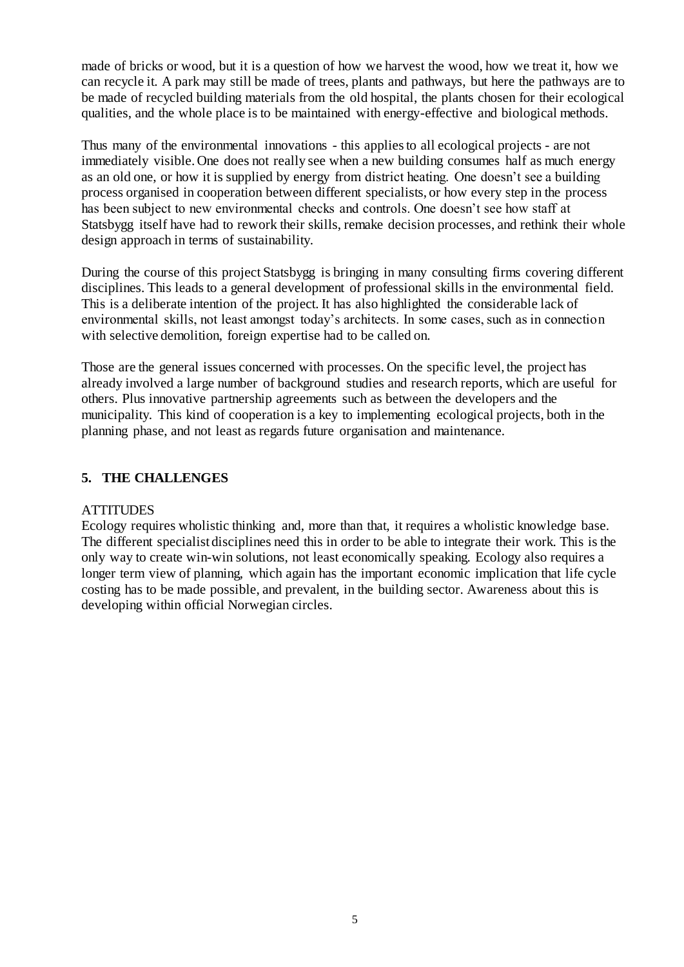made of bricks or wood, but it is a question of how we harvest the wood, how we treat it, how we can recycle it. A park may still be made of trees, plants and pathways, but here the pathways are to be made of recycled building materials from the old hospital, the plants chosen for their ecological qualities, and the whole place is to be maintained with energy-effective and biological methods.

Thus many of the environmental innovations - this applies to all ecological projects - are not immediately visible. One does not really see when a new building consumes half as much energy as an old one, or how it is supplied by energy from district heating. One doesn't see a building process organised in cooperation between different specialists, or how every step in the process has been subject to new environmental checks and controls. One doesn't see how staff at Statsbygg itself have had to rework their skills, remake decision processes, and rethink their whole design approach in terms of sustainability.

During the course of this project Statsbygg is bringing in many consulting firms covering different disciplines. This leads to a general development of professional skills in the environmental field. This is a deliberate intention of the project. It has also highlighted the considerable lack of environmental skills, not least amongst today's architects. In some cases, such as in connection with selective demolition, foreign expertise had to be called on.

Those are the general issues concerned with processes. On the specific level, the project has already involved a large number of background studies and research reports, which are useful for others. Plus innovative partnership agreements such as between the developers and the municipality. This kind of cooperation is a key to implementing ecological projects, both in the planning phase, and not least as regards future organisation and maintenance.

## **5. THE CHALLENGES**

### **ATTITUDES**

Ecology requires wholistic thinking and, more than that, it requires a wholistic knowledge base. The different specialist disciplines need this in order to be able to integrate their work. This is the only way to create win-win solutions, not least economically speaking. Ecology also requires a longer term view of planning, which again has the important economic implication that life cycle costing has to be made possible, and prevalent, in the building sector. Awareness about this is developing within official Norwegian circles.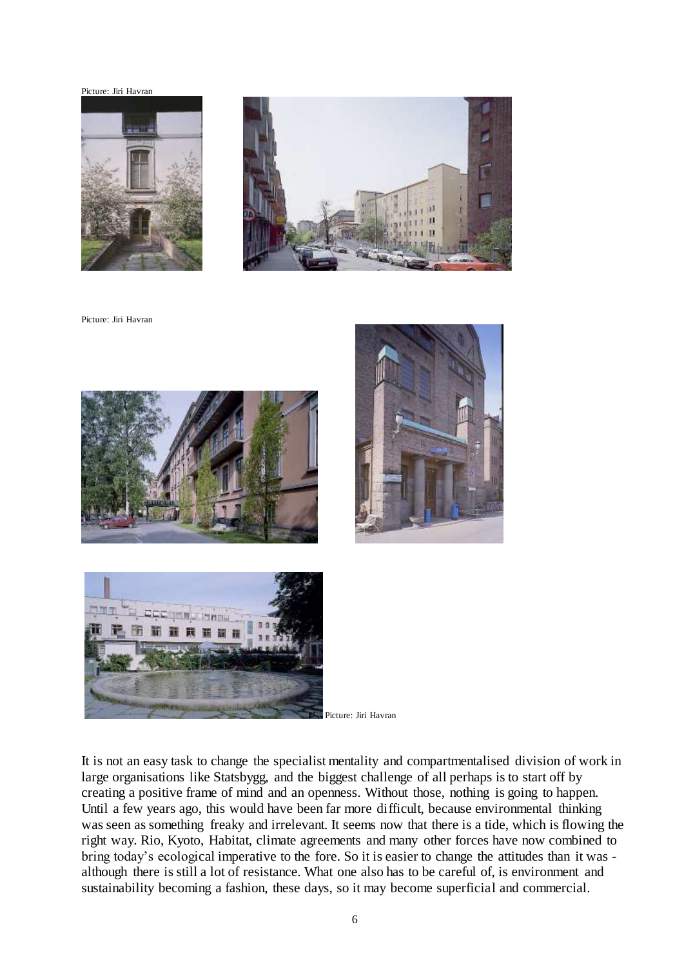Picture: Jiri Havran





Picture: Jiri Havran



It is not an easy task to change the specialist mentality and compartmentalised division of work in large organisations like Statsbygg, and the biggest challenge of all perhaps is to start off by creating a positive frame of mind and an openness. Without those, nothing is going to happen. Until a few years ago, this would have been far more difficult, because environmental thinking was seen as something freaky and irrelevant. It seems now that there is a tide, which is flowing the right way. Rio, Kyoto, Habitat, climate agreements and many other forces have now combined to bring today's ecological imperative to the fore. So it is easier to change the attitudes than it was although there is still a lot of resistance. What one also has to be careful of, is environment and sustainability becoming a fashion, these days, so it may become superficial and commercial.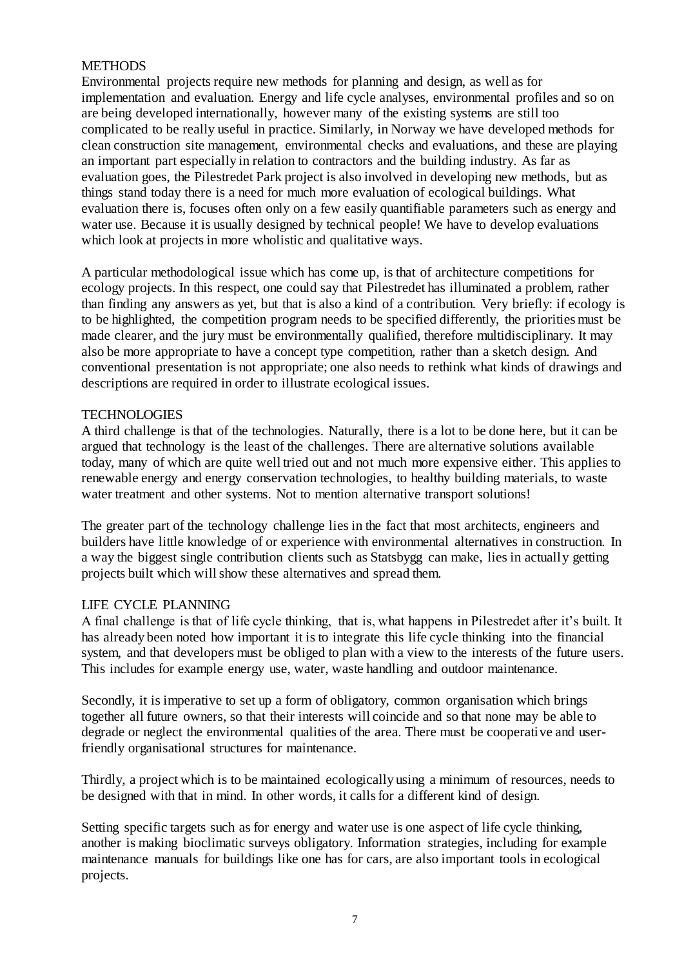## **METHODS**

Environmental projects require new methods for planning and design, as well as for implementation and evaluation. Energy and life cycle analyses, environmental profiles and so on are being developed internationally, however many of the existing systems are still too complicated to be really useful in practice. Similarly, in Norway we have developed methods for clean construction site management, environmental checks and evaluations, and these are playing an important part especially in relation to contractors and the building industry. As far as evaluation goes, the Pilestredet Park project is also involved in developing new methods, but as things stand today there is a need for much more evaluation of ecological buildings. What evaluation there is, focuses often only on a few easily quantifiable parameters such as energy and water use. Because it is usually designed by technical people! We have to develop evaluations which look at projects in more wholistic and qualitative ways.

A particular methodological issue which has come up, is that of architecture competitions for ecology projects. In this respect, one could say that Pilestredet has illuminated a problem, rather than finding any answers as yet, but that is also a kind of a contribution. Very briefly: if ecology is to be highlighted, the competition program needs to be specified differently, the priorities must be made clearer, and the jury must be environmentally qualified, therefore multidisciplinary. It may also be more appropriate to have a concept type competition, rather than a sketch design. And conventional presentation is not appropriate; one also needs to rethink what kinds of drawings and descriptions are required in order to illustrate ecological issues.

## **TECHNOLOGIES**

A third challenge is that of the technologies. Naturally, there is a lot to be done here, but it can be argued that technology is the least of the challenges. There are alternative solutions available today, many of which are quite well tried out and not much more expensive either. This applies to renewable energy and energy conservation technologies, to healthy building materials, to waste water treatment and other systems. Not to mention alternative transport solutions!

The greater part of the technology challenge lies in the fact that most architects, engineers and builders have little knowledge of or experience with environmental alternatives in construction. In a way the biggest single contribution clients such as Statsbygg can make, lies in actually getting projects built which will show these alternatives and spread them.

### LIFE CYCLE PLANNING

A final challenge is that of life cycle thinking, that is, what happens in Pilestredet after it's built. It has already been noted how important it is to integrate this life cycle thinking into the financial system, and that developers must be obliged to plan with a view to the interests of the future users. This includes for example energy use, water, waste handling and outdoor maintenance.

Secondly, it is imperative to set up a form of obligatory, common organisation which brings together all future owners, so that their interests will coincide and so that none may be able to degrade or neglect the environmental qualities of the area. There must be cooperative and userfriendly organisational structures for maintenance.

Thirdly, a project which is to be maintained ecologically using a minimum of resources, needs to be designed with that in mind. In other words, it calls for a different kind of design.

Setting specific targets such as for energy and water use is one aspect of life cycle thinking, another is making bioclimatic surveys obligatory. Information strategies, including for example maintenance manuals for buildings like one has for cars, are also important tools in ecological projects.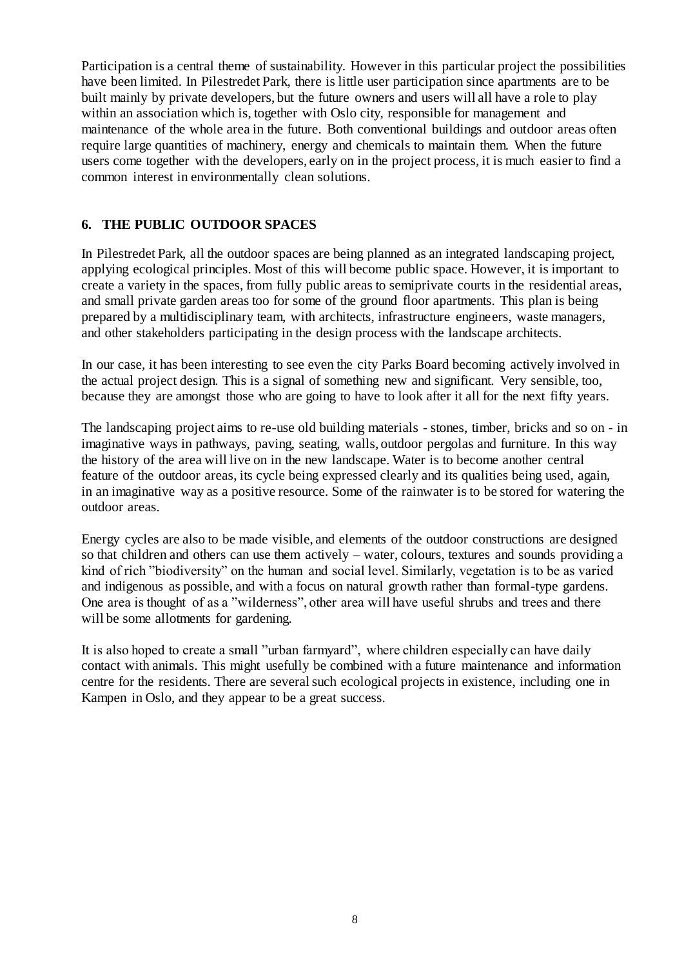Participation is a central theme of sustainability. However in this particular project the possibilities have been limited. In Pilestredet Park, there is little user participation since apartments are to be built mainly by private developers, but the future owners and users will all have a role to play within an association which is, together with Oslo city, responsible for management and maintenance of the whole area in the future. Both conventional buildings and outdoor areas often require large quantities of machinery, energy and chemicals to maintain them. When the future users come together with the developers, early on in the project process, it is much easier to find a common interest in environmentally clean solutions.

# **6. THE PUBLIC OUTDOOR SPACES**

In Pilestredet Park, all the outdoor spaces are being planned as an integrated landscaping project, applying ecological principles. Most of this will become public space. However, it is important to create a variety in the spaces, from fully public areas to semiprivate courts in the residential areas, and small private garden areas too for some of the ground floor apartments. This plan is being prepared by a multidisciplinary team, with architects, infrastructure engineers, waste managers, and other stakeholders participating in the design process with the landscape architects.

In our case, it has been interesting to see even the city Parks Board becoming actively involved in the actual project design. This is a signal of something new and significant. Very sensible, too, because they are amongst those who are going to have to look after it all for the next fifty years.

The landscaping project aims to re-use old building materials - stones, timber, bricks and so on - in imaginative ways in pathways, paving, seating, walls, outdoor pergolas and furniture. In this way the history of the area will live on in the new landscape. Water is to become another central feature of the outdoor areas, its cycle being expressed clearly and its qualities being used, again, in an imaginative way as a positive resource. Some of the rainwater is to be stored for watering the outdoor areas.

Energy cycles are also to be made visible, and elements of the outdoor constructions are designed so that children and others can use them actively – water, colours, textures and sounds providing a kind of rich "biodiversity" on the human and social level. Similarly, vegetation is to be as varied and indigenous as possible, and with a focus on natural growth rather than formal-type gardens. One area is thought of as a "wilderness", other area will have useful shrubs and trees and there will be some allotments for gardening.

It is also hoped to create a small "urban farmyard", where children especially can have daily contact with animals. This might usefully be combined with a future maintenance and information centre for the residents. There are several such ecological projects in existence, including one in Kampen in Oslo, and they appear to be a great success.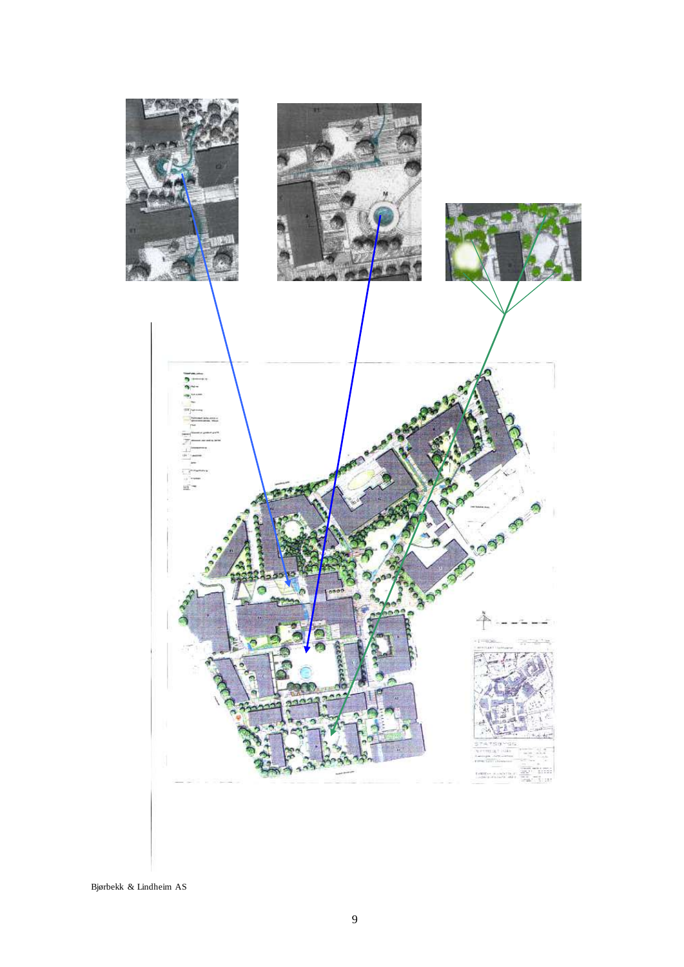

Bjørbekk & Lindheim AS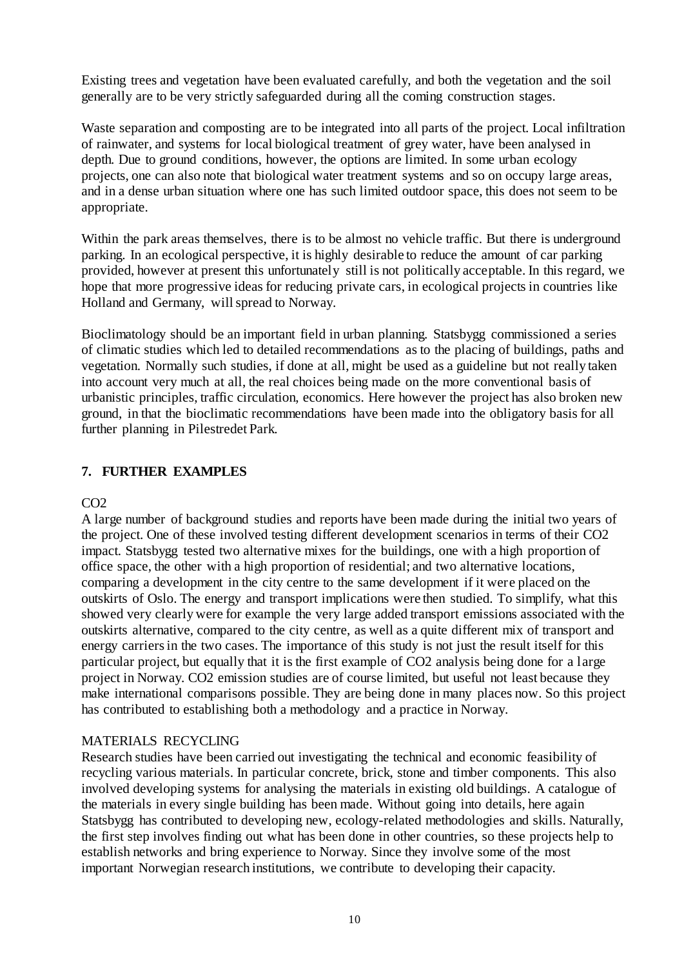Existing trees and vegetation have been evaluated carefully, and both the vegetation and the soil generally are to be very strictly safeguarded during all the coming construction stages.

Waste separation and composting are to be integrated into all parts of the project. Local infiltration of rainwater, and systems for local biological treatment of grey water, have been analysed in depth. Due to ground conditions, however, the options are limited. In some urban ecology projects, one can also note that biological water treatment systems and so on occupy large areas, and in a dense urban situation where one has such limited outdoor space, this does not seem to be appropriate.

Within the park areas themselves, there is to be almost no vehicle traffic. But there is underground parking. In an ecological perspective, it is highly desirable to reduce the amount of car parking provided, however at present this unfortunately still is not politically acceptable. In this regard, we hope that more progressive ideas for reducing private cars, in ecological projects in countries like Holland and Germany, will spread to Norway.

Bioclimatology should be an important field in urban planning. Statsbygg commissioned a series of climatic studies which led to detailed recommendations as to the placing of buildings, paths and vegetation. Normally such studies, if done at all, might be used as a guideline but not really taken into account very much at all, the real choices being made on the more conventional basis of urbanistic principles, traffic circulation, economics. Here however the project has also broken new ground, in that the bioclimatic recommendations have been made into the obligatory basis for all further planning in Pilestredet Park.

### **7. FURTHER EXAMPLES**

### CO2

A large number of background studies and reports have been made during the initial two years of the project. One of these involved testing different development scenarios in terms of their CO2 impact. Statsbygg tested two alternative mixes for the buildings, one with a high proportion of office space, the other with a high proportion of residential; and two alternative locations, comparing a development in the city centre to the same development if it were placed on the outskirts of Oslo. The energy and transport implications were then studied. To simplify, what this showed very clearly were for example the very large added transport emissions associated with the outskirts alternative, compared to the city centre, as well as a quite different mix of transport and energy carriers in the two cases. The importance of this study is not just the result itself for this particular project, but equally that it is the first example of CO2 analysis being done for a large project in Norway. CO2 emission studies are of course limited, but useful not least because they make international comparisons possible. They are being done in many places now. So this project has contributed to establishing both a methodology and a practice in Norway.

### MATERIALS RECYCLING

Research studies have been carried out investigating the technical and economic feasibility of recycling various materials. In particular concrete, brick, stone and timber components. This also involved developing systems for analysing the materials in existing old buildings. A catalogue of the materials in every single building has been made. Without going into details, here again Statsbygg has contributed to developing new, ecology-related methodologies and skills. Naturally, the first step involves finding out what has been done in other countries, so these projects help to establish networks and bring experience to Norway. Since they involve some of the most important Norwegian research institutions, we contribute to developing their capacity.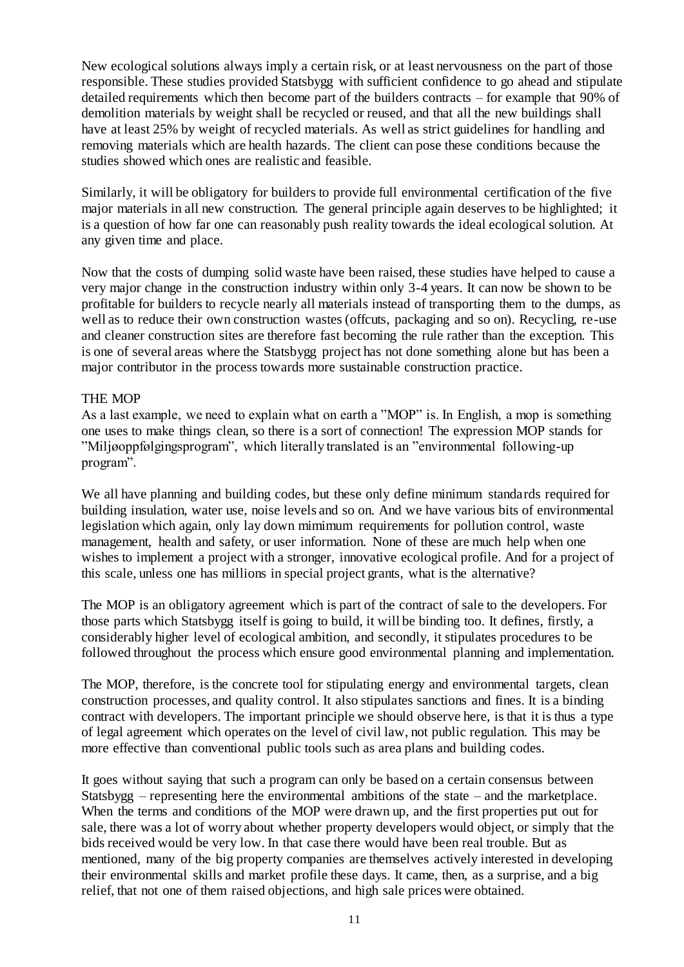New ecological solutions always imply a certain risk, or at least nervousness on the part of those responsible. These studies provided Statsbygg with sufficient confidence to go ahead and stipulate detailed requirements which then become part of the builders contracts – for example that 90% of demolition materials by weight shall be recycled or reused, and that all the new buildings shall have at least 25% by weight of recycled materials. As well as strict guidelines for handling and removing materials which are health hazards. The client can pose these conditions because the studies showed which ones are realistic and feasible.

Similarly, it will be obligatory for builders to provide full environmental certification of the five major materials in all new construction. The general principle again deserves to be highlighted; it is a question of how far one can reasonably push reality towards the ideal ecological solution. At any given time and place.

Now that the costs of dumping solid waste have been raised, these studies have helped to cause a very major change in the construction industry within only 3-4 years. It can now be shown to be profitable for builders to recycle nearly all materials instead of transporting them to the dumps, as well as to reduce their own construction wastes (offcuts, packaging and so on). Recycling, re-use and cleaner construction sites are therefore fast becoming the rule rather than the exception. This is one of several areas where the Statsbygg project has not done something alone but has been a major contributor in the process towards more sustainable construction practice.

## THE MOP

As a last example, we need to explain what on earth a "MOP" is. In English, a mop is something one uses to make things clean, so there is a sort of connection! The expression MOP stands for "Miljøoppfølgingsprogram", which literally translated is an "environmental following-up program".

We all have planning and building codes, but these only define minimum standards required for building insulation, water use, noise levels and so on. And we have various bits of environmental legislation which again, only lay down mimimum requirements for pollution control, waste management, health and safety, or user information. None of these are much help when one wishes to implement a project with a stronger, innovative ecological profile. And for a project of this scale, unless one has millions in special project grants, what is the alternative?

The MOP is an obligatory agreement which is part of the contract of sale to the developers. For those parts which Statsbygg itself is going to build, it will be binding too. It defines, firstly, a considerably higher level of ecological ambition, and secondly, it stipulates procedures to be followed throughout the process which ensure good environmental planning and implementation.

The MOP, therefore, is the concrete tool for stipulating energy and environmental targets, clean construction processes, and quality control. It also stipulates sanctions and fines. It is a binding contract with developers. The important principle we should observe here, is that it is thus a type of legal agreement which operates on the level of civil law, not public regulation. This may be more effective than conventional public tools such as area plans and building codes.

It goes without saying that such a program can only be based on a certain consensus between Statsbygg – representing here the environmental ambitions of the state – and the marketplace. When the terms and conditions of the MOP were drawn up, and the first properties put out for sale, there was a lot of worry about whether property developers would object, or simply that the bids received would be very low. In that case there would have been real trouble. But as mentioned, many of the big property companies are themselves actively interested in developing their environmental skills and market profile these days. It came, then, as a surprise, and a big relief, that not one of them raised objections, and high sale prices were obtained.